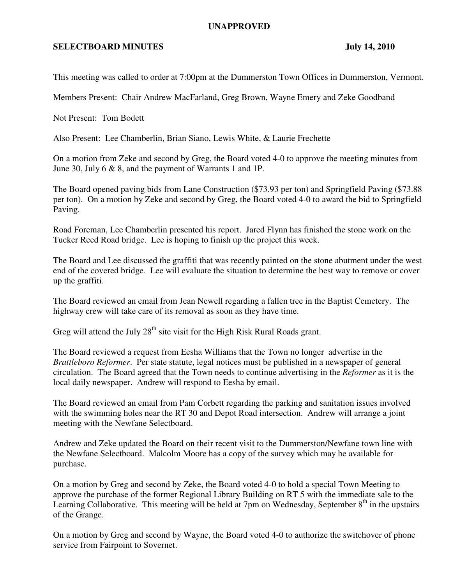## **UNAPPROVED**

## **SELECTBOARD MINUTES** July 14, 2010

This meeting was called to order at 7:00pm at the Dummerston Town Offices in Dummerston, Vermont.

Members Present: Chair Andrew MacFarland, Greg Brown, Wayne Emery and Zeke Goodband

Not Present: Tom Bodett

Also Present: Lee Chamberlin, Brian Siano, Lewis White, & Laurie Frechette

On a motion from Zeke and second by Greg, the Board voted 4-0 to approve the meeting minutes from June 30, July 6 & 8, and the payment of Warrants 1 and 1P.

The Board opened paving bids from Lane Construction (\$73.93 per ton) and Springfield Paving (\$73.88 per ton). On a motion by Zeke and second by Greg, the Board voted 4-0 to award the bid to Springfield Paving.

Road Foreman, Lee Chamberlin presented his report. Jared Flynn has finished the stone work on the Tucker Reed Road bridge. Lee is hoping to finish up the project this week.

The Board and Lee discussed the graffiti that was recently painted on the stone abutment under the west end of the covered bridge. Lee will evaluate the situation to determine the best way to remove or cover up the graffiti.

The Board reviewed an email from Jean Newell regarding a fallen tree in the Baptist Cemetery. The highway crew will take care of its removal as soon as they have time.

Greg will attend the July 28<sup>th</sup> site visit for the High Risk Rural Roads grant.

The Board reviewed a request from Eesha Williams that the Town no longer advertise in the *Brattleboro Reformer*. Per state statute, legal notices must be published in a newspaper of general circulation. The Board agreed that the Town needs to continue advertising in the *Reformer* as it is the local daily newspaper. Andrew will respond to Eesha by email.

The Board reviewed an email from Pam Corbett regarding the parking and sanitation issues involved with the swimming holes near the RT 30 and Depot Road intersection. Andrew will arrange a joint meeting with the Newfane Selectboard.

Andrew and Zeke updated the Board on their recent visit to the Dummerston/Newfane town line with the Newfane Selectboard. Malcolm Moore has a copy of the survey which may be available for purchase.

On a motion by Greg and second by Zeke, the Board voted 4-0 to hold a special Town Meeting to approve the purchase of the former Regional Library Building on RT 5 with the immediate sale to the Learning Collaborative. This meeting will be held at 7pm on Wednesday, September  $8<sup>th</sup>$  in the upstairs of the Grange.

On a motion by Greg and second by Wayne, the Board voted 4-0 to authorize the switchover of phone service from Fairpoint to Sovernet.